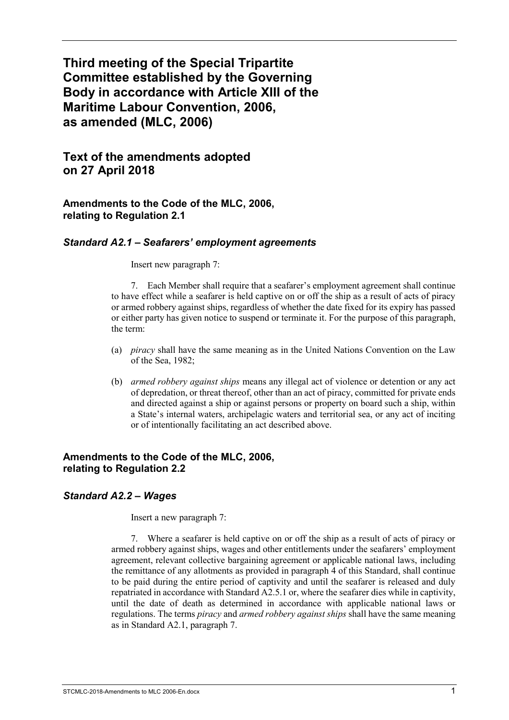# **Third meeting of the Special Tripartite Committee established by the Governing Body in accordance with Article XIII of the Maritime Labour Convention, 2006, as amended (MLC, 2006)**

## **Text of the amendments adopted on 27 April 2018**

**Amendments to the Code of the MLC, 2006, relating to Regulation 2.1** 

#### *Standard A2.1 – Seafarers' employment agreements*

Insert new paragraph 7:

7. Each Member shall require that a seafarer's employment agreement shall continue to have effect while a seafarer is held captive on or off the ship as a result of acts of piracy or armed robbery against ships, regardless of whether the date fixed for its expiry has passed or either party has given notice to suspend or terminate it. For the purpose of this paragraph, the term:

- (a) *piracy* shall have the same meaning as in the United Nations Convention on the Law of the Sea, 1982;
- (b) *armed robbery against ships* means any illegal act of violence or detention or any act of depredation, or threat thereof, other than an act of piracy, committed for private ends and directed against a ship or against persons or property on board such a ship, within a State's internal waters, archipelagic waters and territorial sea, or any act of inciting or of intentionally facilitating an act described above.

#### **Amendments to the Code of the MLC, 2006, relating to Regulation 2.2**

#### *Standard A2.2 – Wages*

Insert a new paragraph 7:

7. Where a seafarer is held captive on or off the ship as a result of acts of piracy or armed robbery against ships, wages and other entitlements under the seafarers' employment agreement, relevant collective bargaining agreement or applicable national laws, including the remittance of any allotments as provided in paragraph 4 of this Standard, shall continue to be paid during the entire period of captivity and until the seafarer is released and duly repatriated in accordance with Standard A2.5.1 or, where the seafarer dies while in captivity, until the date of death as determined in accordance with applicable national laws or regulations. The terms *piracy* and *armed robbery against ships* shall have the same meaning as in Standard A2.1, paragraph 7.